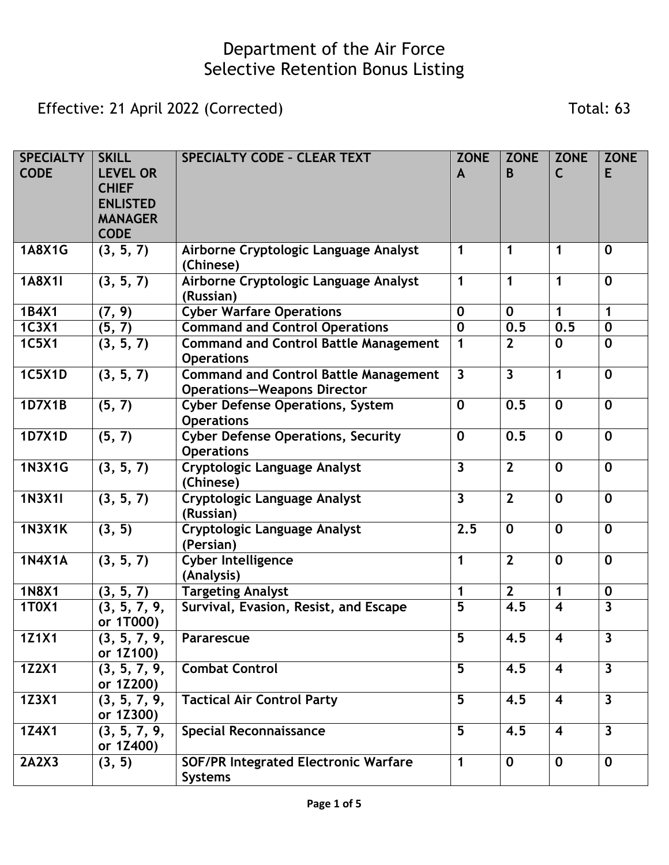Effective: 21 April 2022 (Corrected) Total: 63

| <b>SPECIALTY</b><br><b>CODE</b> | <b>SKILL</b><br><b>LEVEL OR</b><br><b>CHIEF</b><br><b>ENLISTED</b><br><b>MANAGER</b><br><b>CODE</b> | <b>SPECIALTY CODE - CLEAR TEXT</b>                                                 | <b>ZONE</b><br>$\mathsf{A}$ | <b>ZONE</b><br>B        | <b>ZONE</b><br>C        | <b>ZONE</b><br>E        |
|---------------------------------|-----------------------------------------------------------------------------------------------------|------------------------------------------------------------------------------------|-----------------------------|-------------------------|-------------------------|-------------------------|
| <b>1A8X1G</b>                   | (3, 5, 7)                                                                                           | Airborne Cryptologic Language Analyst<br>(Chinese)                                 | $\mathbf 1$                 | 1                       | 1                       | $\mathbf 0$             |
| 1A8X1I                          | (3, 5, 7)                                                                                           | Airborne Cryptologic Language Analyst<br>(Russian)                                 | $\mathbf 1$                 | 1                       | 1                       | $\mathbf 0$             |
| 1B4X1                           | (7, 9)                                                                                              | <b>Cyber Warfare Operations</b>                                                    | $\mathbf 0$                 | $\mathbf 0$             | 1                       | $\mathbf 1$             |
| <b>1C3X1</b>                    | (5, 7)                                                                                              | <b>Command and Control Operations</b>                                              | $\mathbf 0$                 | 0.5                     | 0.5                     | $\bf{0}$                |
| <b>1C5X1</b>                    | (3, 5, 7)                                                                                           | <b>Command and Control Battle Management</b><br><b>Operations</b>                  | $\mathbf 1$                 | $\overline{2}$          | $\mathbf 0$             | $\mathbf 0$             |
| <b>1C5X1D</b>                   | (3, 5, 7)                                                                                           | <b>Command and Control Battle Management</b><br><b>Operations-Weapons Director</b> | $\overline{\mathbf{3}}$     | $\overline{\mathbf{3}}$ | 1                       | $\mathbf 0$             |
| 1D7X1B                          | (5, 7)                                                                                              | <b>Cyber Defense Operations, System</b><br><b>Operations</b>                       | $\mathbf 0$                 | 0.5                     | $\mathbf 0$             | $\mathbf 0$             |
| 1D7X1D                          | (5, 7)                                                                                              | <b>Cyber Defense Operations, Security</b><br><b>Operations</b>                     | $\mathbf 0$                 | 0.5                     | $\mathbf 0$             | $\mathbf 0$             |
| <b>1N3X1G</b>                   | (3, 5, 7)                                                                                           | <b>Cryptologic Language Analyst</b><br>(Chinese)                                   | $\overline{\mathbf{3}}$     | $\overline{2}$          | $\mathbf 0$             | $\mathbf 0$             |
| <b>1N3X1I</b>                   | (3, 5, 7)                                                                                           | Cryptologic Language Analyst<br>(Russian)                                          | $\overline{3}$              | $\overline{2}$          | $\mathbf 0$             | $\mathbf 0$             |
| <b>1N3X1K</b>                   | (3, 5)                                                                                              | Cryptologic Language Analyst<br>(Persian)                                          | 2.5                         | $\mathbf 0$             | $\mathbf 0$             | $\mathbf 0$             |
| <b>1N4X1A</b>                   | (3, 5, 7)                                                                                           | <b>Cyber Intelligence</b><br>(Analysis)                                            | $\mathbf 1$                 | $\overline{2}$          | $\mathbf 0$             | $\mathbf 0$             |
| <b>1N8X1</b>                    | (3, 5, 7)                                                                                           | <b>Targeting Analyst</b>                                                           | 1                           | $\overline{2}$          | 1                       | $\bf{0}$                |
| 1T0X1                           | (3, 5, 7, 9,<br>or 1T000)                                                                           | Survival, Evasion, Resist, and Escape                                              | 5                           | 4.5                     | $\overline{\mathbf{4}}$ | $\overline{\mathbf{3}}$ |
| 1Z1X1                           | (3, 5, 7, 9,<br>or 1Z100)                                                                           | Pararescue                                                                         | 5                           | 4.5                     | 4                       | 3                       |
| <b>1Z2X1</b>                    | (3, 5, 7, 9,<br>or 1Z200)                                                                           | <b>Combat Control</b>                                                              | 5                           | 4.5                     | $\overline{\mathbf{4}}$ | $\mathbf{3}$            |
| 1Z3X1                           | (3, 5, 7, 9,<br>or 1Z300)                                                                           | <b>Tactical Air Control Party</b>                                                  | 5                           | 4.5                     | $\overline{\mathbf{4}}$ | $\overline{3}$          |
| 1Z4X1                           | (3, 5, 7, 9,<br>or 1Z400)                                                                           | <b>Special Reconnaissance</b>                                                      | 5                           | 4.5                     | $\overline{\mathbf{4}}$ | $\overline{3}$          |
| 2A2X3                           | (3, 5)                                                                                              | <b>SOF/PR Integrated Electronic Warfare</b><br><b>Systems</b>                      | $\mathbf 1$                 | $\mathbf 0$             | $\mathbf 0$             | $\mathbf 0$             |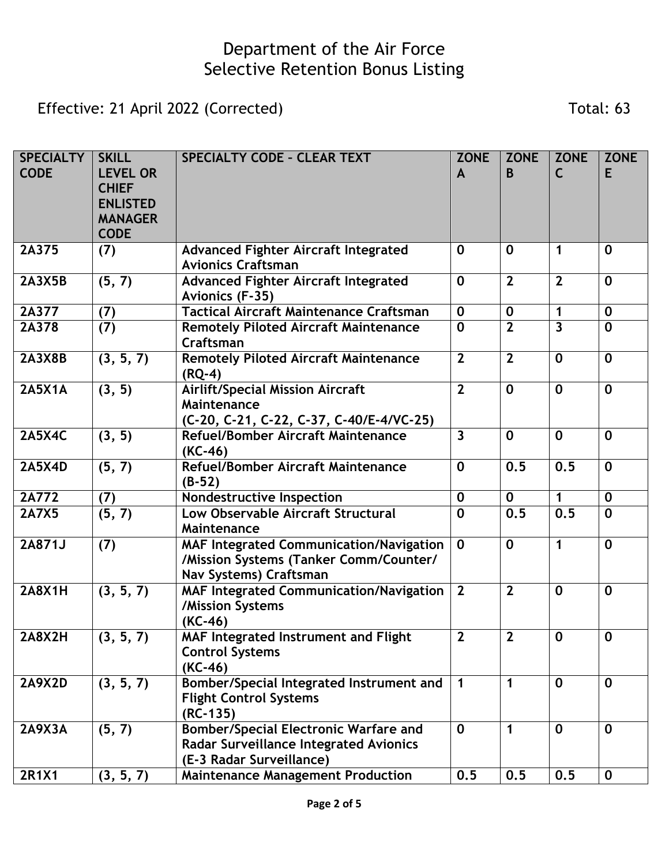Effective: 21 April 2022 (Corrected) Total: 63

| <b>SPECIALTY</b><br><b>CODE</b> | <b>SKILL</b><br><b>LEVEL OR</b><br><b>CHIEF</b><br><b>ENLISTED</b><br><b>MANAGER</b><br><b>CODE</b> | <b>SPECIALTY CODE - CLEAR TEXT</b>                                                                                        | <b>ZONE</b><br>$\mathbf{A}$ | <b>ZONE</b><br>B | <b>ZONE</b><br>C | <b>ZONE</b><br>E |
|---------------------------------|-----------------------------------------------------------------------------------------------------|---------------------------------------------------------------------------------------------------------------------------|-----------------------------|------------------|------------------|------------------|
| 2A375                           | (7)                                                                                                 | <b>Advanced Fighter Aircraft Integrated</b><br><b>Avionics Craftsman</b>                                                  | $\bf{0}$                    | $\mathbf 0$      | 1                | $\mathbf 0$      |
| <b>2A3X5B</b>                   | (5, 7)                                                                                              | <b>Advanced Fighter Aircraft Integrated</b><br>Avionics (F-35)                                                            | $\mathbf 0$                 | $\overline{2}$   | $\overline{2}$   | $\mathbf{0}$     |
| 2A377                           | (7)                                                                                                 | <b>Tactical Aircraft Maintenance Craftsman</b>                                                                            | $\mathbf 0$                 | $\mathbf 0$      | 1                | $\mathbf 0$      |
| 2A378                           | $\overline{(7)}$                                                                                    | <b>Remotely Piloted Aircraft Maintenance</b><br>Craftsman                                                                 | $\mathbf 0$                 | $\overline{2}$   | 3                | $\mathbf 0$      |
| <b>2A3X8B</b>                   | (3, 5, 7)                                                                                           | <b>Remotely Piloted Aircraft Maintenance</b><br>$(RQ-4)$                                                                  | $\overline{2}$              | $\overline{2}$   | $\mathbf 0$      | $\mathbf 0$      |
| <b>2A5X1A</b>                   | (3, 5)                                                                                              | <b>Airlift/Special Mission Aircraft</b><br>Maintenance<br>(C-20, C-21, C-22, C-37, C-40/E-4/VC-25)                        | $\overline{2}$              | $\mathbf 0$      | $\mathbf 0$      | $\mathbf 0$      |
| <b>2A5X4C</b>                   | (3, 5)                                                                                              | Refuel/Bomber Aircraft Maintenance<br>$(KC-46)$                                                                           | $\overline{3}$              | $\mathbf 0$      | $\mathbf 0$      | $\mathbf 0$      |
| <b>2A5X4D</b>                   | (5, 7)                                                                                              | Refuel/Bomber Aircraft Maintenance<br>$(B-52)$                                                                            | $\mathbf 0$                 | 0.5              | 0.5              | $\mathbf 0$      |
| 2A772                           | (7)                                                                                                 | Nondestructive Inspection                                                                                                 | $\mathbf 0$                 | $\mathbf 0$      | $\mathbf{1}$     | $\mathbf 0$      |
| <b>2A7X5</b>                    | (5, 7)                                                                                              | Low Observable Aircraft Structural<br>Maintenance                                                                         | $\mathbf 0$                 | 0.5              | 0.5              | $\mathbf 0$      |
| 2A871J                          | (7)                                                                                                 | <b>MAF Integrated Communication/Navigation</b><br>/Mission Systems (Tanker Comm/Counter/<br>Nav Systems) Craftsman        | $\mathbf 0$                 | $\mathbf 0$      | 1                | $\mathbf 0$      |
| <b>2A8X1H</b>                   | (3, 5, 7)                                                                                           | MAF Integrated Communication/Navigation<br>/Mission Systems<br>$(KC-46)$                                                  | $\overline{2}$              | $\overline{2}$   | $\mathbf 0$      | $\mathbf 0$      |
| 2A8X2H                          | (3, 5, 7)                                                                                           | MAF Integrated Instrument and Flight<br><b>Control Systems</b><br>(KC-46)                                                 | $\mathbf{z}$                | $\mathbf{z}$     | 0                | 0                |
| <b>2A9X2D</b>                   | (3, 5, 7)                                                                                           | Bomber/Special Integrated Instrument and<br><b>Flight Control Systems</b><br>$(RC-135)$                                   | $\mathbf 1$                 | 1                | $\mathbf 0$      | $\mathbf 0$      |
| <b>2A9X3A</b>                   | (5, 7)                                                                                              | <b>Bomber/Special Electronic Warfare and</b><br><b>Radar Surveillance Integrated Avionics</b><br>(E-3 Radar Surveillance) | $\mathbf 0$                 | 1                | $\mathbf 0$      | $\mathbf 0$      |
| <b>2R1X1</b>                    | (3, 5, 7)                                                                                           | <b>Maintenance Management Production</b>                                                                                  | 0.5                         | 0.5              | 0.5              | $\mathbf 0$      |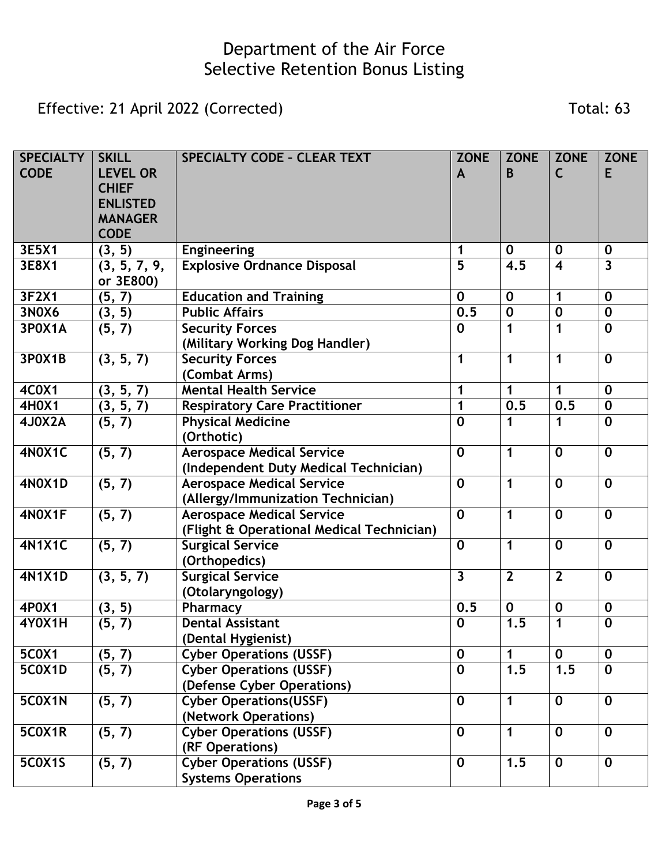Effective: 21 April 2022 (Corrected) Total: 63

| <b>SPECIALTY</b><br><b>CODE</b> | <b>SKILL</b><br><b>LEVEL OR</b><br><b>CHIEF</b><br><b>ENLISTED</b><br><b>MANAGER</b><br><b>CODE</b> | <b>SPECIALTY CODE - CLEAR TEXT</b>                                            | <b>ZONE</b><br>A        | <b>ZONE</b><br>B | <b>ZONE</b><br>C        | <b>ZONE</b><br>E        |
|---------------------------------|-----------------------------------------------------------------------------------------------------|-------------------------------------------------------------------------------|-------------------------|------------------|-------------------------|-------------------------|
| 3E5X1                           | (3, 5)                                                                                              | <b>Engineering</b>                                                            | 1                       | $\mathbf 0$      | $\mathbf 0$             | $\mathbf 0$             |
| 3E8X1                           | (3, 5, 7, 9,<br>or 3E800)                                                                           | <b>Explosive Ordnance Disposal</b>                                            | 5                       | 4.5              | $\overline{\mathbf{4}}$ | $\overline{\mathbf{3}}$ |
| 3F2X1                           | (5, 7)                                                                                              | <b>Education and Training</b>                                                 | $\mathbf 0$             | $\mathbf 0$      | 1                       | $\mathbf 0$             |
| <b>3N0X6</b>                    | (3, 5)                                                                                              | <b>Public Affairs</b>                                                         | 0.5                     | $\mathbf 0$      | $\mathbf 0$             | $\bf{0}$                |
| 3POX1A                          | (5, 7)                                                                                              | <b>Security Forces</b><br>(Military Working Dog Handler)                      | $\mathbf 0$             | 1                | 1                       | $\mathbf 0$             |
| <b>3POX1B</b>                   | (3, 5, 7)                                                                                           | <b>Security Forces</b><br>(Combat Arms)                                       | $\mathbf 1$             | 1                | 1                       | $\mathbf 0$             |
| <b>4C0X1</b>                    | (3, 5, 7)                                                                                           | <b>Mental Health Service</b>                                                  | $\mathbf 1$             | 1                | 1                       | $\mathbf 0$             |
| <b>4H0X1</b>                    | (3, 5, 7)                                                                                           | <b>Respiratory Care Practitioner</b>                                          | $\mathbf 1$             | 0.5              | 0.5                     | $\mathbf 0$             |
| 4J0X2A                          | (5, 7)                                                                                              | <b>Physical Medicine</b><br>(Orthotic)                                        | $\mathbf 0$             | 1                | 1                       | $\mathbf 0$             |
| 4N0X1C                          | (5, 7)                                                                                              | <b>Aerospace Medical Service</b><br>(Independent Duty Medical Technician)     | $\mathbf 0$             | $\mathbf 1$      | $\mathbf 0$             | $\mathbf 0$             |
| <b>4N0X1D</b>                   | (5, 7)                                                                                              | <b>Aerospace Medical Service</b><br>(Allergy/Immunization Technician)         | $\mathbf 0$             | 1                | $\mathbf 0$             | $\mathbf 0$             |
| 4N0X1F                          | (5, 7)                                                                                              | <b>Aerospace Medical Service</b><br>(Flight & Operational Medical Technician) | $\mathbf 0$             | 1                | $\mathbf 0$             | $\mathbf 0$             |
| <b>4N1X1C</b>                   | (5, 7)                                                                                              | <b>Surgical Service</b><br>(Orthopedics)                                      | $\mathbf 0$             | 1                | $\mathbf 0$             | $\mathbf 0$             |
| <b>4N1X1D</b>                   | (3, 5, 7)                                                                                           | <b>Surgical Service</b><br>(Otolaryngology)                                   | $\overline{\mathbf{3}}$ | $\overline{2}$   | $\overline{2}$          | $\mathbf 0$             |
| 4P0X1                           | (3, 5)                                                                                              | Pharmacy                                                                      | 0.5                     | $\mathbf 0$      | $\mathbf 0$             | $\mathbf 0$             |
| 4Y0X1H                          | (5, 7)                                                                                              | <b>Dental Assistant</b><br>(Dental Hygienist)                                 | $\mathbf 0$             | 1.5              | 1                       | $\mathbf 0$             |
| <b>5C0X1</b>                    | (5, 7)                                                                                              | <b>Cyber Operations (USSF)</b>                                                | $\mathbf 0$             | 1                | $\mathbf{0}$            | $\mathbf 0$             |
| 5C0X1D                          | (5, 7)                                                                                              | <b>Cyber Operations (USSF)</b><br>(Defense Cyber Operations)                  | $\mathbf 0$             | 1.5              | 1.5                     | $\mathbf 0$             |
| <b>5C0X1N</b>                   | (5, 7)                                                                                              | <b>Cyber Operations(USSF)</b><br>(Network Operations)                         | $\mathbf 0$             | 1                | $\mathbf 0$             | $\mathbf 0$             |
| 5COX1R                          | (5, 7)                                                                                              | <b>Cyber Operations (USSF)</b><br>(RF Operations)                             | $\mathbf 0$             | 1                | $\mathbf 0$             | $\mathbf 0$             |
| <b>5C0X1S</b>                   | (5, 7)                                                                                              | <b>Cyber Operations (USSF)</b><br><b>Systems Operations</b>                   | $\mathbf 0$             | 1.5              | $\mathbf 0$             | $\mathbf 0$             |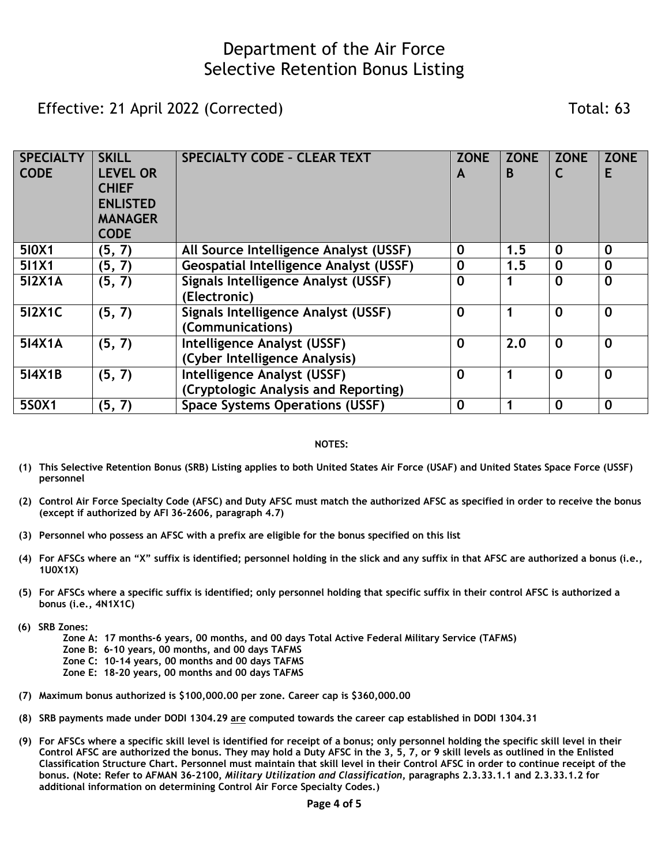Effective: 21 April 2022 (Corrected) Total: 63

| <b>SPECIALTY</b><br><b>CODE</b> | <b>SKILL</b><br><b>LEVEL OR</b><br><b>CHIEF</b><br><b>ENLISTED</b><br><b>MANAGER</b><br><b>CODE</b> | <b>SPECIALTY CODE - CLEAR TEXT</b>                                  | <b>ZONE</b><br>A | <b>ZONE</b><br>B | <b>ZONE</b> | <b>ZONE</b><br>Е |
|---------------------------------|-----------------------------------------------------------------------------------------------------|---------------------------------------------------------------------|------------------|------------------|-------------|------------------|
| 510X1                           | (5, 7)                                                                                              | All Source Intelligence Analyst (USSF)                              | $\mathbf 0$      | 1.5              | $\mathbf 0$ | $\mathbf 0$      |
| 511X1                           | (5, 7)                                                                                              | <b>Geospatial Intelligence Analyst (USSF)</b>                       | $\bf{0}$         | 1.5              | $\mathbf 0$ | $\bf{0}$         |
| 512X1A                          | (5, 7)                                                                                              | Signals Intelligence Analyst (USSF)<br>(Electronic)                 | $\mathbf 0$      |                  | $\mathbf 0$ | $\mathbf 0$      |
| 512X1C                          | (5, 7)                                                                                              | Signals Intelligence Analyst (USSF)<br>(Communications)             | $\bf{0}$         |                  | $\mathbf 0$ | $\mathbf 0$      |
| 514X1A                          | (5, 7)                                                                                              | Intelligence Analyst (USSF)<br>(Cyber Intelligence Analysis)        | $\mathbf 0$      | 2.0              | $\mathbf 0$ | $\mathbf 0$      |
| 514X1B                          | (5, 7)                                                                                              | Intelligence Analyst (USSF)<br>(Cryptologic Analysis and Reporting) | $\mathbf 0$      |                  | $\mathbf 0$ | $\mathbf 0$      |
| 5S0X1                           | (5, 7)                                                                                              | <b>Space Systems Operations (USSF)</b>                              | $\mathbf 0$      |                  | $\mathbf 0$ | $\mathbf 0$      |

#### **NOTES:**

- **(1) This Selective Retention Bonus (SRB) Listing applies to both United States Air Force (USAF) and United States Space Force (USSF) personnel**
- **(2) Control Air Force Specialty Code (AFSC) and Duty AFSC must match the authorized AFSC as specified in order to receive the bonus (except if authorized by AFI 36-2606, paragraph 4.7)**
- **(3) Personnel who possess an AFSC with a prefix are eligible for the bonus specified on this list**
- **(4) For AFSCs where an "X" suffix is identified; personnel holding in the slick and any suffix in that AFSC are authorized a bonus (i.e., 1U0X1X)**
- **(5) For AFSCs where a specific suffix is identified; only personnel holding that specific suffix in their control AFSC is authorized a bonus (i.e., 4N1X1C)**
- **(6) SRB Zones:**
	- **Zone A: 17 months-6 years, 00 months, and 00 days Total Active Federal Military Service (TAFMS)**
	- **Zone B: 6-10 years, 00 months, and 00 days TAFMS**
	- **Zone C: 10-14 years, 00 months and 00 days TAFMS**
	- **Zone E: 18-20 years, 00 months and 00 days TAFMS**
- **(7) Maximum bonus authorized is \$100,000.00 per zone. Career cap is \$360,000.00**
- **(8) SRB payments made under DODI 1304.29 are computed towards the career cap established in DODI 1304.31**
- **(9) For AFSCs where a specific skill level is identified for receipt of a bonus; only personnel holding the specific skill level in their Control AFSC are authorized the bonus. They may hold a Duty AFSC in the 3, 5, 7, or 9 skill levels as outlined in the Enlisted Classification Structure Chart. Personnel must maintain that skill level in their Control AFSC in order to continue receipt of the bonus. (Note: Refer to AFMAN 36-2100,** *Military Utilization and Classification***, paragraphs 2.3.33.1.1 and 2.3.33.1.2 for additional information on determining Control Air Force Specialty Codes.)**